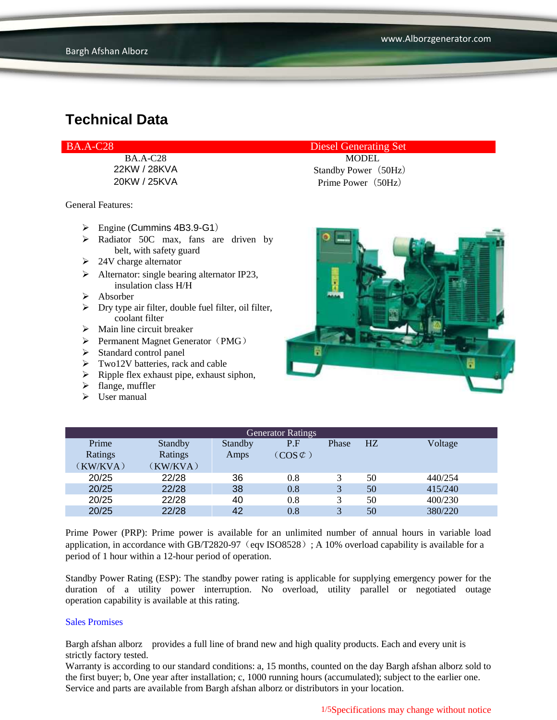| <b>BA.A-C28</b> | <b>Diesel Generating Set</b> |
|-----------------|------------------------------|
| <b>BA.A-C28</b> | <b>MODEL</b>                 |
| 22KW / 28KVA    | Standby Power (50Hz)         |
| 20KW / 25KVA    | Prime Power (50Hz)           |

General Features:

- $\triangleright$  Engine (Cummins 4B3.9-G1)
- > Radiator 50C max, fans are driven by belt, with safety guard
- $\geq$  24V charge alternator
- $\triangleright$  Alternator: single bearing alternator IP23, insulation class H/H
- $\triangleright$  Absorber
- $\triangleright$  Dry type air filter, double fuel filter, oil filter, coolant filter
- $\triangleright$  Main line circuit breaker
- $\triangleright$  Permanent Magnet Generator (PMG)
- $\triangleright$  Standard control panel
- $\triangleright$  Two12V batteries, rack and cable
- $\triangleright$  Ripple flex exhaust pipe, exhaust siphon,
- $\blacktriangleright$  flange, muffler
- $\triangleright$  User manual



| <b>Generator Ratings</b> |          |         |                     |                         |    |         |
|--------------------------|----------|---------|---------------------|-------------------------|----|---------|
| Prime                    | Standby  | Standby | P.F                 | Phase                   | HZ | Voltage |
| Ratings                  | Ratings  | Amps    | $(COS \mathcal{C})$ |                         |    |         |
| (KW/KVA)                 | (KW/KVA) |         |                     |                         |    |         |
| 20/25                    | 22/28    | 36      | 0.8                 |                         | 50 | 440/254 |
| 20/25                    | 22/28    | 38      | 0.8                 |                         | 50 | 415/240 |
| 20/25                    | 22/28    | 40      | $0.8\,$             | 3                       | 50 | 400/230 |
| 20/25                    | 22/28    | 42      | 0.8                 | $\overline{\mathbf{c}}$ | 50 | 380/220 |

Prime Power (PRP): Prime power is available for an unlimited number of annual hours in variable load application, in accordance with GB/T2820-97 (eqv ISO8528); A 10% overload capability is available for a period of 1 hour within a 12-hour period of operation.

Standby Power Rating (ESP): The standby power rating is applicable for supplying emergency power for the duration of a utility power interruption. No overload, utility parallel or negotiated outage operation capability is available at this rating.

#### Sales Promises

Bargh afshan alborz provides a full line of brand new and high quality products. Each and every unit is strictly factory tested.

Warranty is according to our standard conditions: a, 15 months, counted on the day Bargh afshan alborz sold to the first buyer; b, One year after installation; c, 1000 running hours (accumulated); subject to the earlier one. Service and parts are available from Bargh afshan alborz or distributors in your location.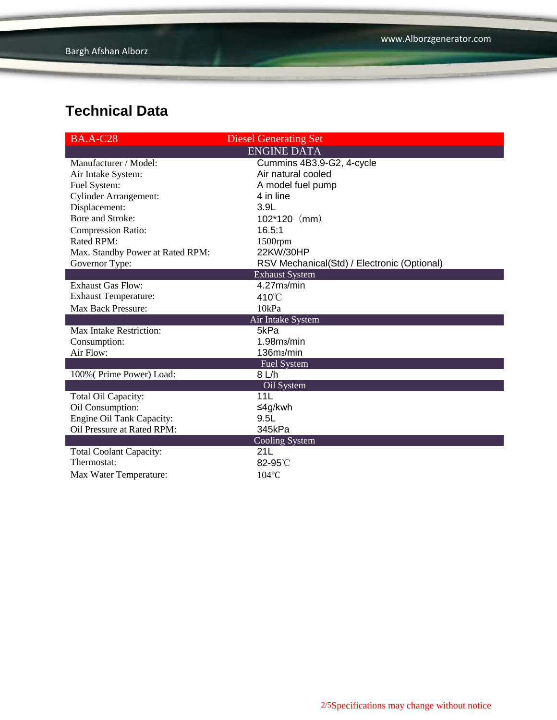| <b>BA.A-C28</b>                  | <b>Diesel Generating Set</b>                |
|----------------------------------|---------------------------------------------|
|                                  | <b>ENGINE DATA</b>                          |
| Manufacturer / Model:            | Cummins 4B3.9-G2, 4-cycle                   |
| Air Intake System:               | Air natural cooled                          |
| Fuel System:                     | A model fuel pump                           |
| <b>Cylinder Arrangement:</b>     | 4 in line                                   |
| Displacement:                    | 3.9L                                        |
| Bore and Stroke:                 | $102*120$ (mm)                              |
| <b>Compression Ratio:</b>        | 16.5:1                                      |
| <b>Rated RPM:</b>                | 1500rpm                                     |
| Max. Standby Power at Rated RPM: | 22KW/30HP                                   |
| Governor Type:                   | RSV Mechanical(Std) / Electronic (Optional) |
|                                  | <b>Exhaust System</b>                       |
| <b>Exhaust Gas Flow:</b>         | 4.27m <sub>3</sub> /min                     |
| <b>Exhaust Temperature:</b>      | 410°C                                       |
| <b>Max Back Pressure:</b>        | 10kPa                                       |
|                                  | Air Intake System                           |
| <b>Max Intake Restriction:</b>   | 5kPa                                        |
| Consumption:                     | 1.98 <sub>ms</sub> /min                     |
| Air Flow:                        | 136m <sub>3</sub> /min                      |
|                                  | <b>Fuel System</b>                          |
| 100% (Prime Power) Load:         | 8 L/h                                       |
|                                  | Oil System                                  |
| Total Oil Capacity:              | 11L                                         |
| Oil Consumption:                 | ≤4g/kwh                                     |
| Engine Oil Tank Capacity:        | 9.5L                                        |
| Oil Pressure at Rated RPM:       | 345kPa                                      |
|                                  | <b>Cooling System</b>                       |
| <b>Total Coolant Capacity:</b>   | 21L                                         |
| Thermostat:                      | 82-95°C                                     |
| Max Water Temperature:           | 104°C                                       |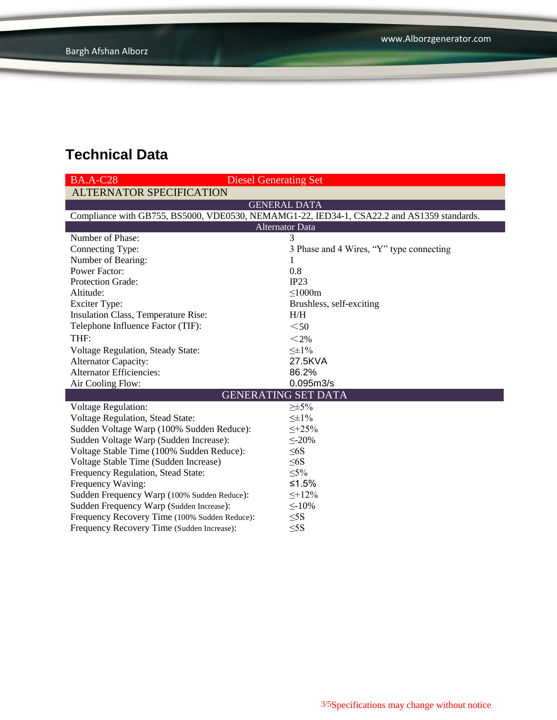| <b>BA.A-C28</b>                               | <b>Diesel Generating Set</b>                                                               |  |  |  |
|-----------------------------------------------|--------------------------------------------------------------------------------------------|--|--|--|
| <b>ALTERNATOR SPECIFICATION</b>               |                                                                                            |  |  |  |
|                                               | <b>GENERAL DATA</b>                                                                        |  |  |  |
|                                               | Compliance with GB755, BS5000, VDE0530, NEMAMG1-22, IED34-1, CSA22.2 and AS1359 standards. |  |  |  |
| <b>Alternator Data</b>                        |                                                                                            |  |  |  |
| Number of Phase:                              | 3                                                                                          |  |  |  |
| Connecting Type:                              | 3 Phase and 4 Wires, "Y" type connecting                                                   |  |  |  |
| Number of Bearing:                            | 1                                                                                          |  |  |  |
| <b>Power Factor:</b>                          | 0.8                                                                                        |  |  |  |
| Protection Grade:                             | IP23                                                                                       |  |  |  |
| Altitude:                                     | $\leq$ 1000m                                                                               |  |  |  |
| <b>Exciter Type:</b>                          | Brushless, self-exciting                                                                   |  |  |  |
| Insulation Class, Temperature Rise:           | H/H                                                                                        |  |  |  |
| Telephone Influence Factor (TIF):             | $50$                                                                                       |  |  |  |
| THF:                                          | $<$ 2%                                                                                     |  |  |  |
| <b>Voltage Regulation, Steady State:</b>      | $\leq \pm 1\%$                                                                             |  |  |  |
| <b>Alternator Capacity:</b>                   | 27.5KVA                                                                                    |  |  |  |
| <b>Alternator Efficiencies:</b>               | 86.2%                                                                                      |  |  |  |
| Air Cooling Flow:                             | 0.095m3/s                                                                                  |  |  |  |
|                                               | <b>GENERATING SET DATA</b>                                                                 |  |  |  |
| <b>Voltage Regulation:</b>                    | $\geq \pm 5\%$                                                                             |  |  |  |
| Voltage Regulation, Stead State:              | $\leq \pm 1\%$                                                                             |  |  |  |
| Sudden Voltage Warp (100% Sudden Reduce):     | $\leq +25\%$                                                                               |  |  |  |
| Sudden Voltage Warp (Sudden Increase):        | $\leq$ -20%                                                                                |  |  |  |
| Voltage Stable Time (100% Sudden Reduce):     | $\leq 6S$                                                                                  |  |  |  |
| Voltage Stable Time (Sudden Increase)         | $\leq 6S$                                                                                  |  |  |  |
| Frequency Regulation, Stead State:            | $\leq 5\%$                                                                                 |  |  |  |
| Frequency Waving:                             | ≤1.5%                                                                                      |  |  |  |
| Sudden Frequency Warp (100% Sudden Reduce):   | $\leq +12\%$                                                                               |  |  |  |
| Sudden Frequency Warp (Sudden Increase):      | $\leq$ -10%                                                                                |  |  |  |
| Frequency Recovery Time (100% Sudden Reduce): | $\leq$ 5S                                                                                  |  |  |  |
| Frequency Recovery Time (Sudden Increase):    | $\leq$ 5S                                                                                  |  |  |  |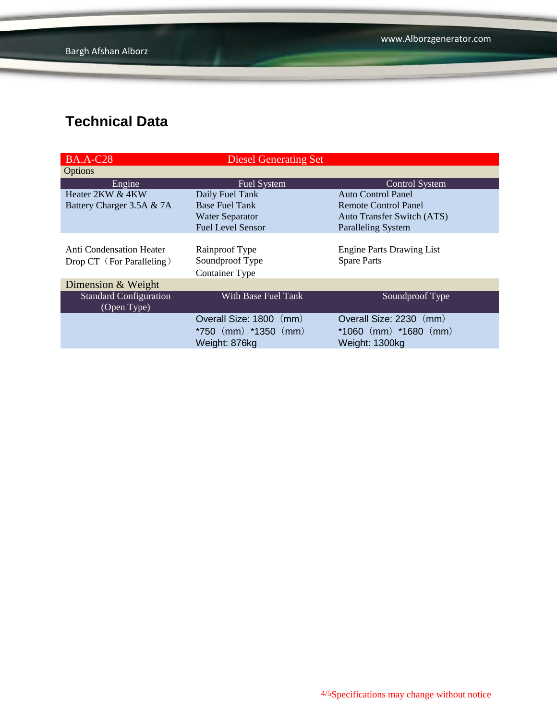| <b>BA.A-C28</b>                 | <b>Diesel Generating Set</b> |                                  |
|---------------------------------|------------------------------|----------------------------------|
| Options                         |                              |                                  |
| Engine                          | <b>Fuel System</b>           | Control System                   |
| Heater 2KW & 4KW                | Daily Fuel Tank              | Auto Control Panel               |
| Battery Charger 3.5A & 7A       | <b>Base Fuel Tank</b>        | Remote Control Panel             |
|                                 | <b>Water Separator</b>       | Auto Transfer Switch (ATS)       |
|                                 | <b>Fuel Level Sensor</b>     | <b>Paralleling System</b>        |
|                                 |                              |                                  |
| <b>Anti Condensation Heater</b> | Rainproof Type               | <b>Engine Parts Drawing List</b> |
| Drop CT (For Paralleling)       | Soundproof Type              | <b>Spare Parts</b>               |
|                                 | <b>Container Type</b>        |                                  |
| Dimension & Weight              |                              |                                  |
| <b>Standard Configuration</b>   | With Base Fuel Tank          | Soundproof Type                  |
| (Open Type)                     |                              |                                  |
|                                 | Overall Size: 1800 (mm)      | Overall Size: 2230<br>(mm)       |
|                                 | $*750$ (mm) $*1350$ (mm)     | $*1060$ (mm) $*1680$ (mm)        |
|                                 | Weight: 876kg                | Weight: 1300kg                   |